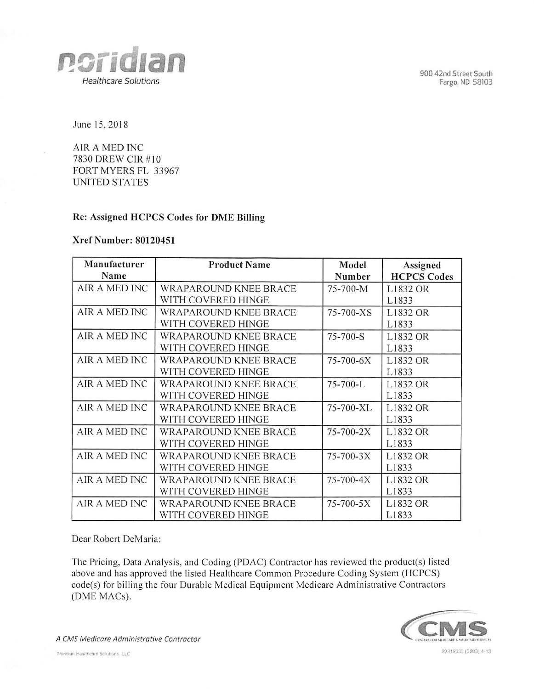90042nd Street South Fargo, ND 58103



June 15,2018

AIR A MED INC 7830 DREW CIR #10 FORT MYERS FL 33967 UNITED STATES

## Re: Assigned HCPCS Codes for DME Billing

## Xref Number: 80120451

| Manufacturer  | <b>Product Name</b>          | Model     | Assigned           |
|---------------|------------------------------|-----------|--------------------|
| Name          |                              | Number    | <b>HCPCS Codes</b> |
| AIR A MED INC | WRAPAROUND KNEE BRACE        | 75-700-M  | L1832 OR           |
|               | WITH COVERED HINGE           |           | L1833              |
| AIR A MED INC | WRAPAROUND KNEE BRACE        | 75-700-XS | L1832 OR           |
|               | WITH COVERED HINGE           |           | L1833              |
| AIR A MED INC | <b>WRAPAROUND KNEE BRACE</b> | 75-700-S  | L1832 OR           |
|               | WITH COVERED HINGE           |           | L1833              |
| AIR A MED INC | WRAPAROUND KNEE BRACE        | 75-700-6X | L1832 OR           |
|               | WITH COVERED HINGE           |           | L1833              |
| AIR A MED INC | <b>WRAPAROUND KNEE BRACE</b> | 75-700-L  | L1832 OR           |
|               | WITH COVERED HINGE           |           | L1833              |
| AIR A MED INC | <b>WRAPAROUND KNEE BRACE</b> | 75-700-XL | L1832 OR           |
|               | WITH COVERED HINGE           |           | L1833              |
| AIR A MED INC | WRAPAROUND KNEE BRACE        | 75-700-2X | L1832 OR           |
|               | WITH COVERED HINGE           |           | L1833              |
| AIR A MED INC | <b>WRAPAROUND KNEE BRACE</b> | 75-700-3X | L1832 OR           |
|               | WITH COVERED HINGE           |           | L1833              |
| AIR A MED INC | WRAPAROUND KNEE BRACE        | 75-700-4X | L1832 OR           |
|               | WITH COVERED HINGE           |           | L1833              |
| AIR A MED INC | <b>WRAPAROUND KNEE BRACE</b> | 75-700-5X | L1832 OR           |
|               | WITH COVERED HINGE           |           | L1833              |

Dear Robert DeMaria:

The Pricing, Data Analysis, and Coding (PDAC) Contractor has reviewed the product(s) listed above and has approved the listed Healthcare Common Procedure Coding System (HCPCS) code(s) for billing the four Durable Medical Equipment Medicare Administrative Contractors (DME MACs).



A CMS Medicare Administrative Contractor CIVIS CONSERVERS NUMBER AND SERVICES OF ANTISTICS AND DEVICES AND SERVICES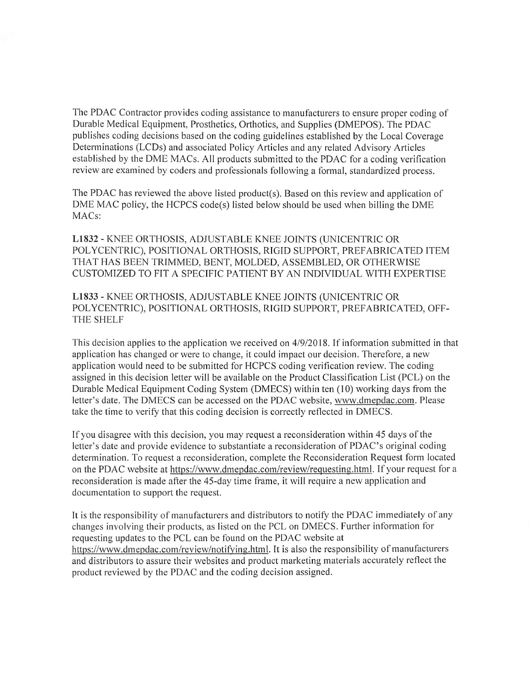The PDAC Contractor provides coding assistance to manufacturers to ensure proper coding of Durable Medical Equipment, Prosthetics, Orthotics, and Supplies (DMEPOS). The PDAC publishes coding decisions based on the coding guidelines established by the Local Coverage Determinations (LCDs) and associated Policy Articles and any related Advisory Articles established by the DME MACs. All products submitted to the PDAC for a coding verification review are examined by coders and professionals following a formal, standardized process.

The PDAC has reviewed the above listed product(s). Based on this review and application of DME MAC policy, the HCPCS code(s) listed below should be used when billing the DME MACs:

LÍ832 - KNEE ORTHOSIS, ADJUSTABLE KNEE JOINTS (UNICENTRIC OR POLYCENTRIC), POSITIONAL ORTHOSIS, RIGID SUPPORT, PREFABRICATED ITEM THAT HAS BEEN TRIMMED, BENT, MOLDED, ASSEMBLED, OR OTHERWISE CUSTOMIZED TO FIT A SPECIFIC PATIENT BY AN INDIVIDUAL WITH EXPERTISE

LÍ833 - KNEE ORTHOSIS, ADJUSTABLE KNEE JOINTS (UNICENTRIC OR POLYCENTRIC), POSITIONAL ORTHOSIS, RIGID SUPPORT, PREFABRICATED, OFF-THE SHELF

This decision applies to the application we received on 4/9/2018. If information submitted in that application has changed or were to change, it could impact our decision. Therefore, a new application would need to be submitted for HCPCS coding verification review. The coding assigned in this decision letter will be available on the Product Classification List (PCL) on the Durable Medical Equipment Coding System (DMECS) within ten (10) working days from the letter's date. The DMECS can be accessed on the PDAC website, www.dmepdac.com. Please take the time to verify that this coding decision is correctly reflected in DMECS.

If you disagree with this decision, you may request a reconsideration within 45 days of the letter's date and provide evidence to substantiate a reconsideration of PDAC's original coding determination. To request a reconsideration, complete the Reconsideration Request form located on the PDAC website at https://www.dmepdac.com/review/requesting.html. If your request for a reconsideration is made after the 45-day time frame, it will require a new application and documentation to support the request.

It is the responsibility of manufacturers and distributors to notify the PDAC immediately of any changes involving their products, as listed on the PCL on DMECS. Further information for requesting updates to the PCL can be found on the PDAC website at https://www.dmepdac.com/review/notifving.html. It is also the responsibility of manufacturers and distributors to assure their websites and product marketing materials accurately reflect the product reviewed by the PDAC and the coding decision assigned.